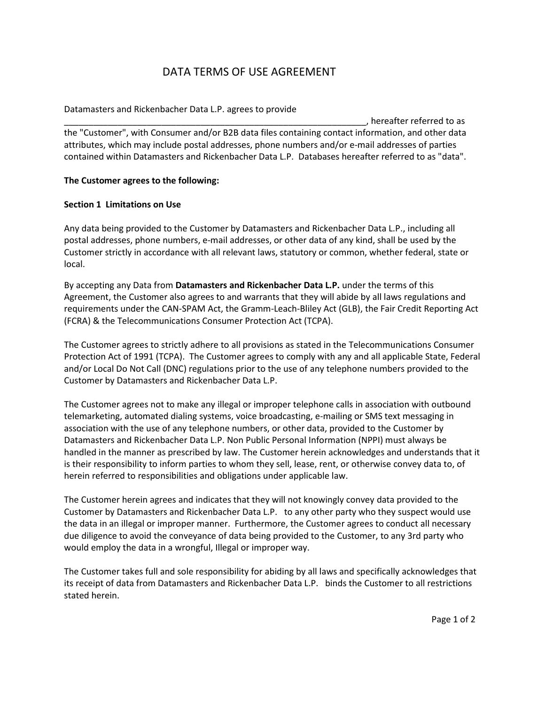# DATA TERMS OF USE AGREEMENT

## Datamasters and Rickenbacher Data L.P. agrees to provide

\_\_\_\_\_\_\_\_\_\_\_\_\_\_\_\_\_\_\_\_\_\_\_\_\_\_\_\_\_\_\_\_\_\_\_\_\_\_\_\_\_\_\_\_\_\_\_\_\_\_\_\_\_\_\_\_\_\_\_\_\_\_, hereafter referred to as the "Customer", with Consumer and/or B2B data files containing contact information, and other data attributes, which may include postal addresses, phone numbers and/or e-mail addresses of parties contained within Datamasters and Rickenbacher Data L.P. Databases hereafter referred to as "data".

#### **The Customer agrees to the following:**

#### **Section 1 Limitations on Use**

Any data being provided to the Customer by Datamasters and Rickenbacher Data L.P., including all postal addresses, phone numbers, e-mail addresses, or other data of any kind, shall be used by the Customer strictly in accordance with all relevant laws, statutory or common, whether federal, state or local.

By accepting any Data from **Datamasters and Rickenbacher Data L.P.** under the terms of this Agreement, the Customer also agrees to and warrants that they will abide by all laws regulations and requirements under the CAN-SPAM Act, the Gramm-Leach-Bliley Act (GLB), the Fair Credit Reporting Act (FCRA) & the Telecommunications Consumer Protection Act (TCPA).

The Customer agrees to strictly adhere to all provisions as stated in the Telecommunications Consumer Protection Act of 1991 (TCPA). The Customer agrees to comply with any and all applicable State, Federal and/or Local Do Not Call (DNC) regulations prior to the use of any telephone numbers provided to the Customer by Datamasters and Rickenbacher Data L.P.

The Customer agrees not to make any illegal or improper telephone calls in association with outbound telemarketing, automated dialing systems, voice broadcasting, e-mailing or SMS text messaging in association with the use of any telephone numbers, or other data, provided to the Customer by Datamasters and Rickenbacher Data L.P. Non Public Personal Information (NPPI) must always be handled in the manner as prescribed by law. The Customer herein acknowledges and understands that it is their responsibility to inform parties to whom they sell, lease, rent, or otherwise convey data to, of herein referred to responsibilities and obligations under applicable law.

The Customer herein agrees and indicates that they will not knowingly convey data provided to the Customer by Datamasters and Rickenbacher Data L.P. to any other party who they suspect would use the data in an illegal or improper manner. Furthermore, the Customer agrees to conduct all necessary due diligence to avoid the conveyance of data being provided to the Customer, to any 3rd party who would employ the data in a wrongful, Illegal or improper way.

The Customer takes full and sole responsibility for abiding by all laws and specifically acknowledges that its receipt of data from Datamasters and Rickenbacher Data L.P. binds the Customer to all restrictions stated herein.